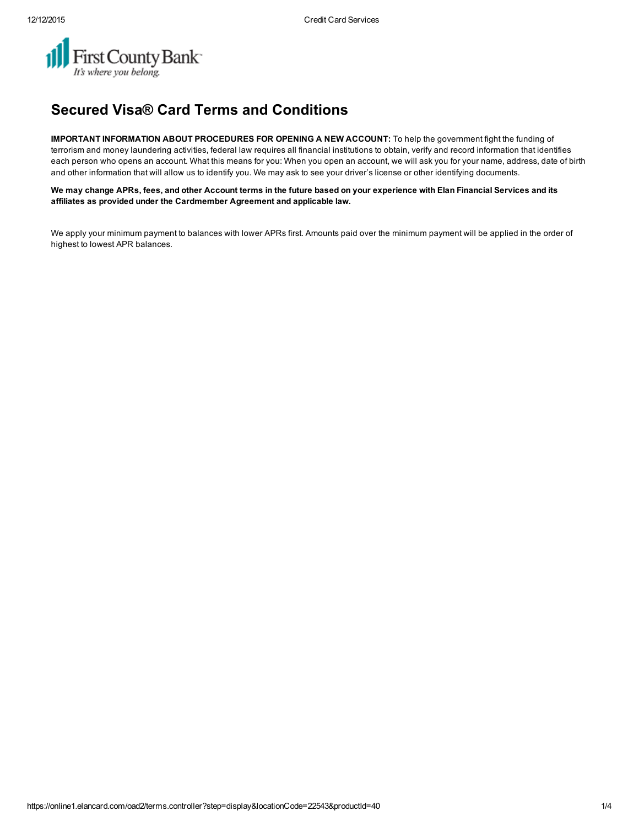

## Secured Visa® Card Terms and Conditions

IMPORTANT INFORMATION ABOUT PROCEDURES FOR OPENING A NEW ACCOUNT: To help the government fight the funding of terrorism and money laundering activities, federal law requires all financial institutions to obtain, verify and record information that identifies each person who opens an account. What this means for you: When you open an account, we will ask you for your name, address, date of birth and other information that will allow us to identify you. We may ask to see your driver's license or other identifying documents.

We may change APRs, fees, and other Account terms in the future based on your experience with Elan Financial Services and its affiliates as provided under the Cardmember Agreement and applicable law.

We apply your minimum payment to balances with lower APRs first. Amounts paid over the minimum payment will be applied in the order of highest to lowest APR balances.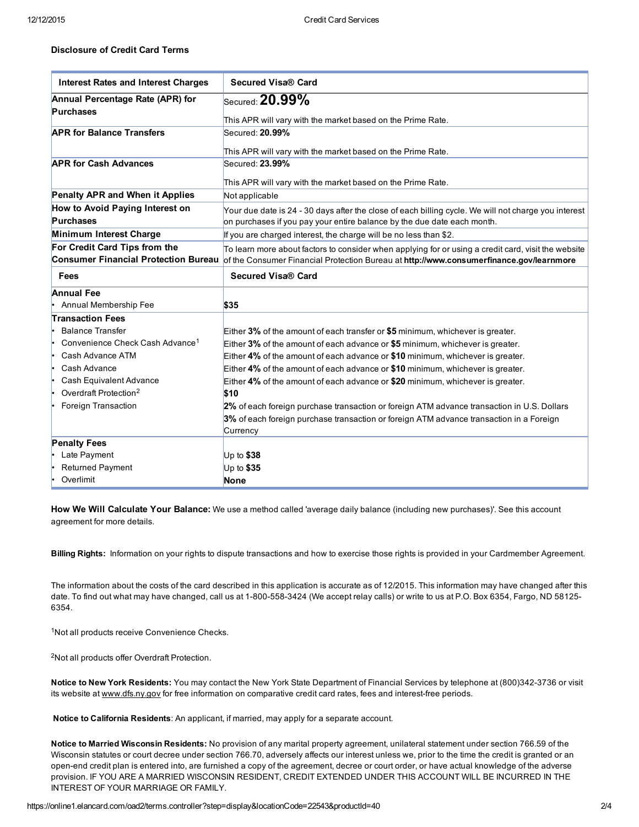## Disclosure of Credit Card Terms

| <b>Interest Rates and Interest Charges</b>  | <b>Secured Visa® Card</b>                                                                                                    |  |  |  |  |
|---------------------------------------------|------------------------------------------------------------------------------------------------------------------------------|--|--|--|--|
| Annual Percentage Rate (APR) for            | Secured: $20.99\%$                                                                                                           |  |  |  |  |
| <b>Purchases</b>                            | This APR will vary with the market based on the Prime Rate.                                                                  |  |  |  |  |
| <b>APR for Balance Transfers</b>            | Secured: 20.99%                                                                                                              |  |  |  |  |
|                                             | This APR will vary with the market based on the Prime Rate.                                                                  |  |  |  |  |
| <b>APR for Cash Advances</b>                | Secured: 23.99%                                                                                                              |  |  |  |  |
|                                             |                                                                                                                              |  |  |  |  |
|                                             | This APR will vary with the market based on the Prime Rate.                                                                  |  |  |  |  |
| Penalty APR and When it Applies             | Not applicable                                                                                                               |  |  |  |  |
| How to Avoid Paying Interest on             | Your due date is 24 - 30 days after the close of each billing cycle. We will not charge you interest                         |  |  |  |  |
| <b>Purchases</b>                            | on purchases if you pay your entire balance by the due date each month.                                                      |  |  |  |  |
| Minimum Interest Charge                     | If you are charged interest, the charge will be no less than \$2.                                                            |  |  |  |  |
| For Credit Card Tips from the               | To learn more about factors to consider when applying for or using a credit card, visit the website                          |  |  |  |  |
|                                             | Consumer Financial Protection Bureau of the Consumer Financial Protection Bureau at http://www.consumerfinance.gov/learnmore |  |  |  |  |
| Fees                                        | Secured Visa® Card                                                                                                           |  |  |  |  |
| <b>Annual Fee</b>                           |                                                                                                                              |  |  |  |  |
| Annual Membership Fee                       | \$35                                                                                                                         |  |  |  |  |
| <b>Transaction Fees</b>                     |                                                                                                                              |  |  |  |  |
| <b>Balance Transfer</b>                     | Either $3\%$ of the amount of each transfer or \$5 minimum, whichever is greater.                                            |  |  |  |  |
| Convenience Check Cash Advance <sup>1</sup> | Either 3% of the amount of each advance or \$5 minimum, whichever is greater.                                                |  |  |  |  |
| Cash Advance ATM                            | Either 4% of the amount of each advance or \$10 minimum, whichever is greater.                                               |  |  |  |  |
| Cash Advance                                | Either 4% of the amount of each advance or \$10 minimum, whichever is greater.                                               |  |  |  |  |
| Cash Equivalent Advance                     | Either 4% of the amount of each advance or \$20 minimum, whichever is greater.                                               |  |  |  |  |
| Overdraft Protection <sup>2</sup>           | \$10                                                                                                                         |  |  |  |  |
| Foreign Transaction                         | 2% of each foreign purchase transaction or foreign ATM advance transaction in U.S. Dollars                                   |  |  |  |  |
|                                             | 3% of each foreign purchase transaction or foreign ATM advance transaction in a Foreign                                      |  |  |  |  |
|                                             | Currency                                                                                                                     |  |  |  |  |
| <b>Penalty Fees</b>                         |                                                                                                                              |  |  |  |  |
| Late Payment                                | Up to $$38$                                                                                                                  |  |  |  |  |
| <b>Returned Payment</b>                     | Up to \$35                                                                                                                   |  |  |  |  |
| Overlimit                                   | None                                                                                                                         |  |  |  |  |

How We Will Calculate Your Balance: We use a method called 'average daily balance (including new purchases)'. See this account agreement for more details.

Billing Rights: Information on your rights to dispute transactions and how to exercise those rights is provided in your Cardmember Agreement.

The information about the costs of the card described in this application is accurate as of 12/2015. This information may have changed after this date. To find out what may have changed, call us at 1-800-558-3424 (We accept relay calls) or write to us at P.O. Box 6354, Fargo, ND 58125-6354.

<sup>1</sup>Not all products receive Convenience Checks.

<sup>2</sup>Not all products offer Overdraft Protection.

Notice to New York Residents: You may contact the New York State Department of Financial Services by telephone at (800)342-3736 or visit its website at [www.dfs.ny.gov](http://www.dfs.ny.gov/) for free information on comparative credit card rates, fees and interest-free periods.

Notice to California Residents: An applicant, if married, may apply for a separate account.

Notice to Married Wisconsin Residents: No provision of any marital property agreement, unilateral statement under section 766.59 of the Wisconsin statutes or court decree under section 766.70, adversely affects our interest unless we, prior to the time the credit is granted or an open-end credit plan is entered into, are furnished a copy of the agreement, decree or court order, or have actual knowledge of the adverse provision. IF YOU ARE A MARRIED WISCONSIN RESIDENT, CREDIT EXTENDED UNDER THIS ACCOUNT WILL BE INCURRED IN THE INTEREST OF YOUR MARRIAGE OR FAMILY.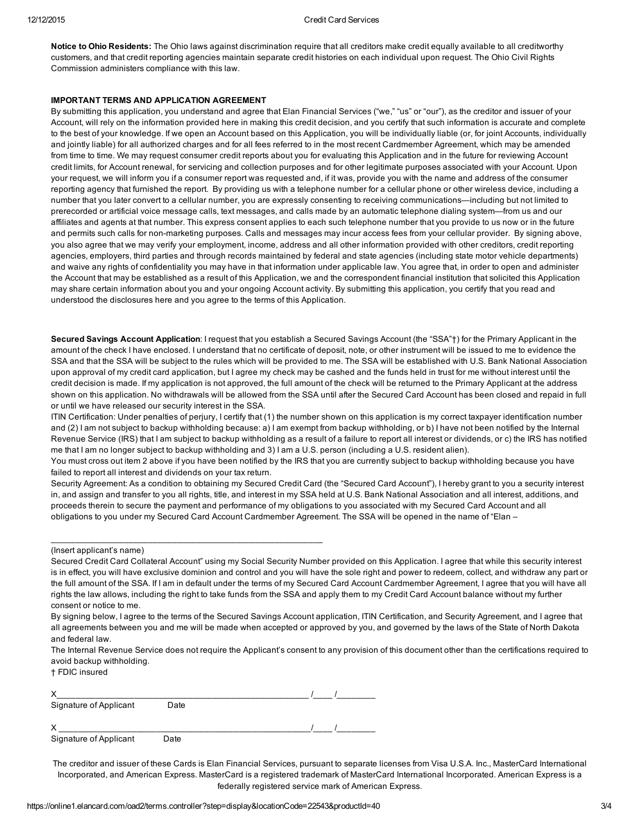Notice to Ohio Residents: The Ohio laws against discrimination require that all creditors make credit equally available to all creditworthy customers, and that credit reporting agencies maintain separate credit histories on each individual upon request. The Ohio Civil Rights Commission administers compliance with this law.

## IMPORTANT TERMS AND APPLICATION AGREEMENT

By submitting this application, you understand and agree that Elan Financial Services ("we," "us" or "our"), as the creditor and issuer of your Account, will rely on the information provided here in making this credit decision, and you certify that such information is accurate and complete to the best of your knowledge. If we open an Account based on this Application, you will be individually liable (or, for joint Accounts, individually and jointly liable) for all authorized charges and for all fees referred to in the most recent Cardmember Agreement, which may be amended from time to time. We may request consumer credit reports about you for evaluating this Application and in the future for reviewing Account credit limits, for Account renewal, for servicing and collection purposes and for other legitimate purposes associated with your Account. Upon your request, we will inform you if a consumer report was requested and, if it was, provide you with the name and address of the consumer reporting agency that furnished the report. By providing us with a telephone number for a cellular phone or other wireless device, including a number that you later convert to a cellular number, you are expressly consenting to receiving communications—including but not limited to prerecorded or artificial voice message calls, text messages, and calls made by an automatic telephone dialing system—from us and our affiliates and agents at that number. This express consent applies to each such telephone number that you provide to us now or in the future and permits such calls for non-marketing purposes. Calls and messages may incur access fees from your cellular provider. By signing above, you also agree that we may verify your employment, income, address and all other information provided with other creditors, credit reporting agencies, employers, third parties and through records maintained by federal and state agencies (including state motor vehicle departments) and waive any rights of confidentiality you may have in that information under applicable law. You agree that, in order to open and administer the Account that may be established as a result of this Application, we and the correspondent financial institution that solicited this Application may share certain information about you and your ongoing Account activity. By submitting this application, you certify that you read and understood the disclosures here and you agree to the terms of this Application.

Secured Savings Account Application: I request that you establish a Secured Savings Account (the "SSA"†) for the Primary Applicant in the amount of the check I have enclosed. I understand that no certificate of deposit, note, or other instrument will be issued to me to evidence the SSA and that the SSA will be subject to the rules which will be provided to me. The SSA will be established with U.S. Bank National Association upon approval of my credit card application, but I agree my check may be cashed and the funds held in trust for me without interest until the credit decision is made. If my application is not approved, the full amount of the check will be returned to the Primary Applicant at the address shown on this application. No withdrawals will be allowed from the SSA until after the Secured Card Account has been closed and repaid in full or until we have released our security interest in the SSA.

ITIN Certification: Under penalties of perjury, I certify that (1) the number shown on this application is my correct taxpayer identification number and (2) I am not subject to backup withholding because: a) I am exempt from backup withholding, or b) I have not been notified by the Internal Revenue Service (IRS) that I am subject to backup withholding as a result of a failure to report all interest or dividends, or c) the IRS has notified me that I am no longer subject to backup withholding and 3) I am a U.S. person (including a U.S. resident alien).

You must cross out item 2 above if you have been notified by the IRS that you are currently subject to backup withholding because you have failed to report all interest and dividends on your tax return.

Security Agreement: As a condition to obtaining my Secured Credit Card (the "Secured Card Account"), I hereby grant to you a security interest in, and assign and transfer to you all rights, title, and interest in my SSA held at U.S. Bank National Association and all interest, additions, and proceeds therein to secure the payment and performance of my obligations to you associated with my Secured Card Account and all obligations to you under my Secured Card Account Cardmember Agreement. The SSA will be opened in the name of "Elan –

## (Insert applicant's name)

| Secured Credit Card Collateral Account" using my Social Security Number provided on this Application. I agree that while this security interest    |
|----------------------------------------------------------------------------------------------------------------------------------------------------|
| is in effect, you will have exclusive dominion and control and you will have the sole right and power to redeem, collect, and withdraw any part or |
| the full amount of the SSA. If I am in default under the terms of my Secured Card Account Cardmember Agreement, I agree that you will have all     |
| rights the law allows, including the right to take funds from the SSA and apply them to my Credit Card Account balance without my further          |
| consent or notice to me.                                                                                                                           |

By signing below, I agree to the terms of the Secured Savings Account application, ITIN Certification, and Security Agreement, and I agree that all agreements between you and me will be made when accepted or approved by you, and governed by the laws of the State of North Dakota and federal law.

The Internal Revenue Service does not require the Applicant's consent to any provision of this document other than the certifications required to avoid backup withholding.

† FDIC insured

| Signature of Applicant | Date |  |  |
|------------------------|------|--|--|
|                        |      |  |  |
| Signature of Applicant | Date |  |  |

 $\_$  , and the set of the set of the set of the set of the set of the set of the set of the set of the set of the set of the set of the set of the set of the set of the set of the set of the set of the set of the set of th

The creditor and issuer of these Cards is Elan Financial Services, pursuant to separate licenses from Visa U.S.A. Inc., MasterCard International Incorporated, and American Express. MasterCard is a registered trademark of MasterCard International Incorporated. American Express is a federally registered service mark of American Express.